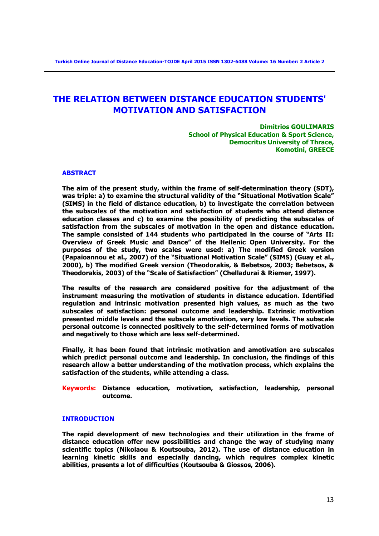# **THE RELATION BETWEEN DISTANCE EDUCATION STUDENTS' MOTIVATION AND SATISFACTION**

**Dimitrios GOULIMARIS School of Physical Education & Sport Science, Democritus University of Thrace, Komotini, GREECE**

# **ABSTRACT**

**The aim of the present study, within the frame of self-determination theory (SDT), was triple: a) to examine the structural validity of the "Situational Motivation Scale" (SIMS) in the field of distance education, b) to investigate the correlation between the subscales of the motivation and satisfaction of students who attend distance education classes and c) to examine the possibility of predicting the subscales of satisfaction from the subscales of motivation in the open and distance education. The sample consisted of 144 students who participated in the course of "Arts II: Overview of Greek Music and Dance" of the Hellenic Open University. For the purposes of the study, two scales were used: a) The modified Greek version (Papaioannou et al., 2007) of the "Situational Motivation Scale" (SIMS) (Guay et al., 2000), b) The modified Greek version (Theodorakis, & Bebetsos, 2003; Bebetsos, & Theodorakis, 2003) of the "Scale of Satisfaction" (Chelladurai & Riemer, 1997).** 

**The results of the research are considered positive for the adjustment of the instrument measuring the motivation of students in distance education. Identified regulation and intrinsic motivation presented high values, as much as the two subscales of satisfaction: personal outcome and leadership. Extrinsic motivation presented middle levels and the subscale amotivation, very low levels. The subscale personal outcome is connected positively to the self-determined forms of motivation and negatively to those which are less self-determined.** 

**Finally, it has been found that intrinsic motivation and amotivation are subscales which predict personal outcome and leadership. In conclusion, the findings of this research allow a better understanding of the motivation process, which explains the satisfaction of the students, while attending a class.** 

**Keywords: Distance education, motivation, satisfaction, leadership, personal outcome.**

# **INTRODUCTION**

**The rapid development of new technologies and their utilization in the frame of distance education offer new possibilities and change the way of studying many scientific topics (Nikolaou & Koutsouba, 2012). The use of distance education in learning kinetic skills and especially dancing, which requires complex kinetic abilities, presents a lot of difficulties (Koutsouba & Giossos, 2006).**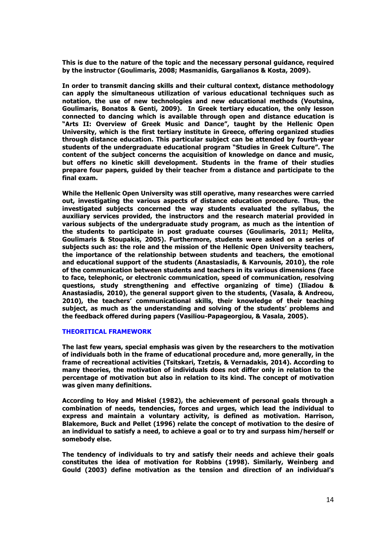**This is due to the nature of the topic and the necessary personal guidance, required by the instructor (Goulimaris, 2008; Masmanidis, Gargalianos & Kosta, 2009).** 

**In order to transmit dancing skills and their cultural context, distance methodology can apply the simultaneous utilization of various educational techniques such as notation, the use of new technologies and new educational methods (Voutsina, Goulimaris, Bonatos & Genti, 2009). In Greek tertiary education, the only lesson connected to dancing which is available through open and distance education is "Arts II: Overview of Greek Music and Dance", taught by the Hellenic Open University, which is the first tertiary institute in Greece, offering organized studies through distance education. This particular subject can be attended by fourth-year students of the undergraduate educational program "Studies in Greek Culture". The content of the subject concerns the acquisition of knowledge on dance and music, but offers no kinetic skill development. Students in the frame of their studies prepare four papers, guided by their teacher from a distance and participate to the final exam.**

**While the Hellenic Open University was still operative, many researches were carried out, investigating the various aspects of distance education procedure. Thus, the investigated subjects concerned the way students evaluated the syllabus, the auxiliary services provided, the instructors and the research material provided in various subjects of the undergraduate study program, as much as the intention of the students to participate in post graduate courses (Goulimaris, 2011; Melita, Goulimaris & Stoupakis, 2005). Furthermore, students were asked on a series of subjects such as: the role and the mission of the Hellenic Open University teachers, the importance of the relationship between students and teachers, the emotional and educational support of the students (Anastasiadis, & Karvounis, 2010), the role of the communication between students and teachers in its various dimensions (face to face, telephonic, or electronic communication, speed of communication, resolving questions, study strengthening and effective organizing of time) (Iliadou & Anastasiadis, 2010), the general support given to the students, (Vasala, & Andreou, 2010), the teachers' communicational skills, their knowledge of their teaching subject, as much as the understanding and solving of the students' problems and the feedback offered during papers (Vasiliou-Papageorgiou, & Vasala, 2005).**

# **THEORITICAL FRAMEWORK**

**The last few years, special emphasis was given by the researchers to the motivation of individuals both in the frame of educational procedure and, more generally, in the frame of recreational activities (Tsitskari, Tzetzis, & Vernadakis, 2014). According to many theories, the motivation of individuals does not differ only in relation to the percentage of motivation but also in relation to its kind. The concept of motivation was given many definitions.** 

**According to Hoy and Miskel (1982), the achievement of personal goals through a combination of needs, tendencies, forces and urges, which lead the individual to express and maintain a voluntary activity, is defined as motivation. Harrison, Blakemore, Buck and Pellet (1996) relate the concept of motivation to the desire of an individual to satisfy a need, to achieve a goal or to try and surpass him/herself or somebody else.** 

**The tendency of individuals to try and satisfy their needs and achieve their goals constitutes the idea of motivation for Robbins (1998). Similarly, Weinberg and Gould (2003) define motivation as the tension and direction of an individual's**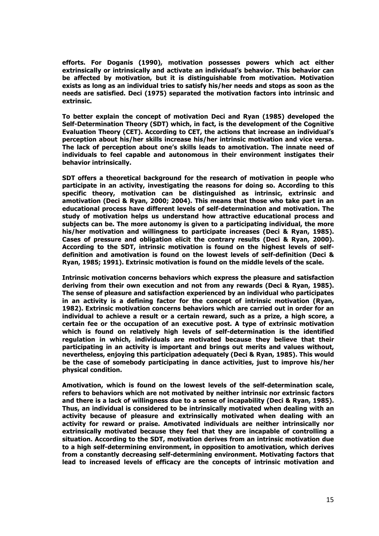**efforts. For Doganis (1990), motivation possesses powers which act either extrinsically or intrinsically and activate an individual's behavior. This behavior can be affected by motivation, but it is distinguishable from motivation. Motivation exists as long as an individual tries to satisfy his/her needs and stops as soon as the needs are satisfied. Deci (1975) separated the motivation factors into intrinsic and extrinsic.** 

**To better explain the concept of motivation Deci and Ryan (1985) developed the Self-Determination Theory (SDT) which, in fact, is the development of the Cognitive Evaluation Theory (CET). According to CET, the actions that increase an individual's perception about his/her skills increase his/her intrinsic motivation and vice versa. The lack of perception about one's skills leads to amotivation. The innate need of individuals to feel capable and autonomous in their environment instigates their behavior intrinsically.** 

**SDT offers a theoretical background for the research of motivation in people who participate in an activity, investigating the reasons for doing so. According to this specific theory, motivation can be distinguished as intrinsic, extrinsic and amotivation (Deci & Ryan, 2000; 2004). This means that those who take part in an educational process have different levels of self-determination and motivation. The study of motivation helps us understand how attractive educational process and subjects can be. The more autonomy is given to a participating individual, the more his/her motivation and willingness to participate increases (Deci & Ryan, 1985). Cases of pressure and obligation elicit the contrary results (Deci & Ryan, 2000). According to the SDT, intrinsic motivation is found on the highest levels of selfdefinition and amotivation is found on the lowest levels of self-definition (Deci & Ryan, 1985; 1991). Extrinsic motivation is found on the middle levels of the scale.** 

**Intrinsic motivation concerns behaviors which express the pleasure and satisfaction deriving from their own execution and not from any rewards (Deci & Ryan, 1985). The sense of pleasure and satisfaction experienced by an individual who participates in an activity is a defining factor for the concept of intrinsic motivation (Ryan, 1982). Extrinsic motivation concerns behaviors which are carried out in order for an individual to achieve a result or a certain reward, such as a prize, a high score, a certain fee or the occupation of an executive post. A type of extrinsic motivation which is found on relatively high levels of self-determination is the identified regulation in which, individuals are motivated because they believe that their participating in an activity is important and brings out merits and values without, nevertheless, enjoying this participation adequately (Deci & Ryan, 1985). This would be the case of somebody participating in dance activities, just to improve his/her physical condition.** 

**Amotivation, which is found on the lowest levels of the self-determination scale, refers to behaviors which are not motivated by neither intrinsic nor extrinsic factors and there is a lack of willingness due to a sense of incapability (Deci & Ryan, 1985). Thus, an individual is considered to be intrinsically motivated when dealing with an activity because of pleasure and extrinsically motivated when dealing with an activity for reward or praise. Amotivated individuals are neither intrinsically nor extrinsically motivated because they feel that they are incapable of controlling a situation. According to the SDT, motivation derives from an intrinsic motivation due to a high self-determining environment, in opposition to amotivation, which derives from a constantly decreasing self-determining environment. Motivating factors that lead to increased levels of efficacy are the concepts of intrinsic motivation and**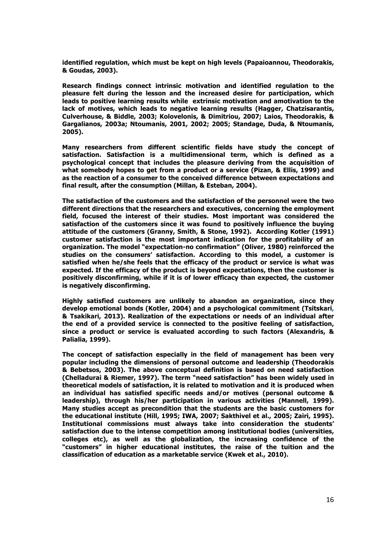**identified regulation, which must be kept on high levels (Papaioannou, Theodorakis, & Goudas, 2003).** 

**Research findings connect intrinsic motivation and identified regulation to the pleasure felt during the lesson and the increased desire for participation, which leads to positive learning results while extrinsic motivation and amotivation to the lack of motives, which leads to negative learning results (Hagger, Chatzisarantis, Culverhouse, & Biddle, 2003; Kolovelonis, & Dimitriou, 2007; Laios, Theodorakis, & Gargalianos, 2003a; Ntoumanis, 2001, 2002; 2005; Standage, Duda, & Ntoumanis, 2005).** 

**Many researchers from different scientific fields have study the concept of satisfaction. Satisfaction is a multidimensional term, which is defined as a psychological concept that includes the pleasure deriving from the acquisition of what somebody hopes to get from a product or a service (Pizan, & Ellis, 1999) and as the reaction of a consumer to the conceived difference between expectations and final result, after the consumption (Millan, & Esteban, 2004).** 

**The satisfaction of the customers and the satisfaction of the personnel were the two different directions that the researchers and executives, concerning the employment field, focused the interest of their studies. Most important was considered the satisfaction of the customers since it was found to positively influence the buying attitude of the customers (Granny, Smith, & Stone, 1992). According Kotler (1991) customer satisfaction is the most important indication for the profitability of an organization. The model "expectation-no confirmation" (Oliver, 1980) reinforced the studies on the consumers' satisfaction. According to this model, a customer is satisfied when he/she feels that the efficacy of the product or service is what was expected. If the efficacy of the product is beyond expectations, then the customer is positively disconfirming, while if it is of lower efficacy than expected, the customer is negatively disconfirming.** 

**Highly satisfied customers are unlikely to abandon an organization, since they develop emotional bonds (Kotler, 2004) and a psychological commitment (Tsitskari, & Tsakikari, 2013). Realization of the expectations or needs of an individual after the end of a provided service is connected to the positive feeling of satisfaction, since a product or service is evaluated according to such factors (Alexandris, & Palialia, 1999).** 

**The concept of satisfaction especially in the field of management has been very popular including the dimensions of personal outcome and leadership (Theodorakis & Bebetsos, 2003). The above conceptual definition is based on need satisfaction (Chelladurai & Riemer, 1997). The term "need satisfaction" has been widely used in theoretical models of satisfaction, it is related to motivation and it is produced when an individual has satisfied specific needs and/or motives (personal outcome & leadership), through his/her participation in various activities (Mannell, 1999). Many studies accept as precondition that the students are the basic customers for the educational institute (Hill, 1995; IWA, 2007; Sakthivel et al., 2005; Zairi, 1995). Institutional commissions must always take into consideration the students' satisfaction due to the intense competition among institutional bodies (universities, colleges etc), as well as the globalization, the increasing confidence of the "customers" in higher educational institutes, the raise of the tuition and the classification of education as a marketable service (Kwek et al., 2010).**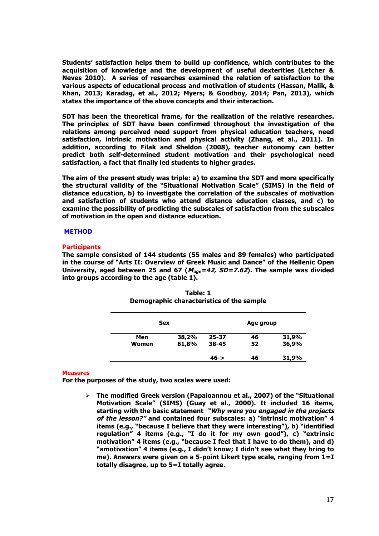**Students' satisfaction helps them to build up confidence, which contributes to the acquisition of knowledge and the development of useful dexterities (Letcher & Neves 2010). A series of researches examined the relation of satisfaction to the various aspects of educational process and motivation of students (Hassan, Malik, & Khan, 2013; Karadag, et al., 2012; Myers; & Goodboy, 2014; Pan, 2013), which states the importance of the above concepts and their interaction.** 

**SDT has been the theoretical frame, for the realization of the relative researches. The principles of SDT have been confirmed throughout the investigation of the relations among perceived need support from physical education teachers, need satisfaction, intrinsic motivation and physical activity (Zhang, et al., 2011). In addition, according to Filak and Sheldon (2008), teacher autonomy can better predict both self-determined student motivation and their psychological need satisfaction, a fact that finally led students to higher grades.** 

**The aim of the present study was triple: a) to examine the SDT and more specifically the structural validity of the "Situational Motivation Scale" (SIMS) in the field of distance education, b) to investigate the correlation of the subscales of motivation and satisfaction of students who attend distance education classes, and c) to examine the possibility of predicting the subscales of satisfaction from the subscales of motivation in the open and distance education.** 

## **METHOD**

# **Participants**

**The sample consisted of 144 students (55 males and 89 females) who participated in the course of "Arts II: Overview of Greek Music and Dance" of the Hellenic Open University, aged between 25 and 67 (Μage=42, SD=7.62). The sample was divided into groups according to the age (table 1).**

| <b>Sex</b> |       |           | Age group |       |  |
|------------|-------|-----------|-----------|-------|--|
| Men        | 38,2% | $25 - 37$ | 46        | 31,9% |  |
| Women      | 61,8% | $38 - 45$ | 52        | 36,9% |  |
|            |       | $46 - >$  | 46        | 31,9% |  |

**Table: 1 Demographic characteristics of the sample**

#### **Measures**

**For the purposes of the study, two scales were used:**

Ø **The modified Greek version (Papaioannou et al., 2007) of the "Situational Motivation Scale" (SIMS) (Guay et al., 2000). It included 16 items, starting with the basic statement "Why were you engaged in the projects of the lesson?" and contained four subscales: a) "intrinsic motivation" 4 items (e.g., "because I believe that they were interesting"), b) "identified regulation" 4 items (e.g., "I do it for my own good"), c) "extrinsic motivation" 4 items (e.g., "because I feel that I have to do them), and d) "amotivation" 4 items (e.g., I didn't know; I didn't see what they bring to me). Answers were given on a 5-point Likert type scale, ranging from 1=I totally disagree, up to 5=I totally agree.**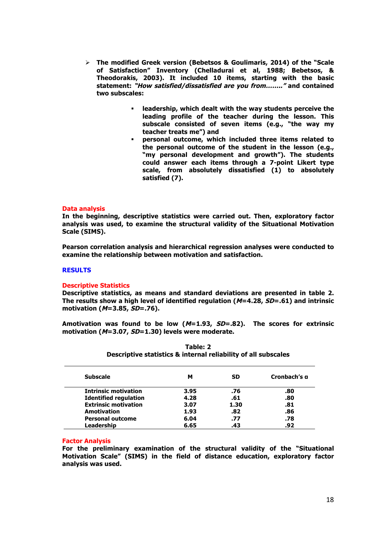- Ø **The modified Greek version (Bebetsos & Goulimaris, 2014) of the "Scale of Satisfaction" Inventory (Chelladurai et al, 1988; Bebetsos, & Theodorakis, 2003). It included 10 items, starting with the basic statement: "How satisfied/dissatisfied are you from…….." and contained two subscales:** 
	- § **leadership, which dealt with the way students perceive the leading profile of the teacher during the lesson. This subscale consisted of seven items (e.g., "the way my teacher treats me") and**
	- § **personal outcome, which included three items related to the personal outcome of the student in the lesson (e.g., "my personal development and growth"). The students could answer each items through a 7-point Likert type scale, from absolutely dissatisfied (1) to absolutely satisfied (7).**

# **Data analysis**

**In the beginning, descriptive statistics were carried out. Then, exploratory factor analysis was used, to examine the structural validity of the Situational Motivation Scale (SIMS).** 

**Pearson correlation analysis and hierarchical regression analyses were conducted to examine the relationship between motivation and satisfaction.** 

# **RESULTS**

#### **Descriptive Statistics**

**Descriptive statistics, as means and standard deviations are presented in table 2. The results show a high level of identified regulation (M=4.28, SD=.61) and intrinsic motivation (M=3.85, SD=.76).** 

**Amotivation was found to be low (M=1.93, SD=.82). The scores for extrinsic motivation (M=3.07, SD=1.30) levels were moderate.**

| <b>Subscale</b>              | м    | <b>SD</b> | Cronbach's g |
|------------------------------|------|-----------|--------------|
| <b>Intrinsic motivation</b>  | 3.95 | .76       | .80          |
| <b>Identified regulation</b> | 4.28 | .61       | .80          |
| <b>Extrinsic motivation</b>  | 3.07 | 1.30      | .81          |
| Amotivation                  | 1.93 | .82       | .86          |
| <b>Personal outcome</b>      | 6.04 | .77       | .78          |
| Leadership                   | 6.65 | .43       | .92          |

# **Table: 2 Descriptive statistics & internal reliability of all subscales**

#### **Factor Analysis**

**For the preliminary examination of the structural validity of the "Situational Motivation Scale" (SIMS) in the field of distance education, exploratory factor analysis was used.**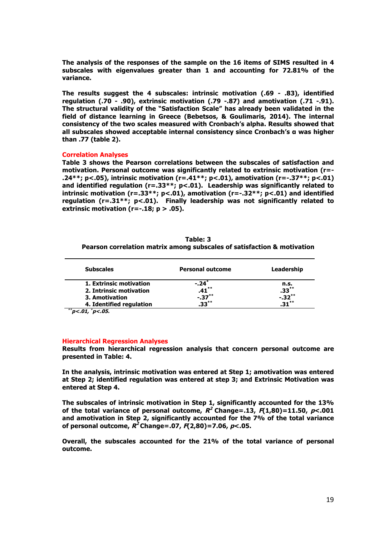**The analysis of the responses of the sample on the 16 items of SIMS resulted in 4 subscales with eigenvalues greater than 1 and accounting for 72.81% of the variance.** 

**The results suggest the 4 subscales: intrinsic motivation (.69 - .83), identified regulation (.70 - .90), extrinsic motivation (.79 -.87) and amotivation (.71 -.91). The structural validity of the "Satisfaction Scale" has already been validated in the field of distance learning in Greece (Bebetsos, & Goulimaris, 2014). The internal consistency of the two scales measured with Cronbach's alpha. Results showed that all subscales showed acceptable internal consistency since Cronbach's α was higher than .77 (table 2).**

## **Correlation Analyses**

**Table 3 shows the Pearson correlations between the subscales of satisfaction and motivation. Personal outcome was significantly related to extrinsic motivation (r=- .24\*\*; p<.05), intrinsic motivation (r=.41\*\*; p<.01), amotivation (r=-.37\*\*; p<.01) and identified regulation (r=.33\*\*; p<.01). Leadership was significantly related to intrinsic motivation (r=.33\*\*; p<.01), amotivation (r=-.32\*\*; p<.01) and identified regulation (r=.31\*\*; p<.01). Finally leadership was not significantly related to extrinsic motivation (r=-.18; p > .05).** 

**Table: 3 Pearson correlation matrix among subscales of satisfaction & motivation**

| <b>Subscales</b>         | <b>Personal outcome</b> | Leadership |
|--------------------------|-------------------------|------------|
| 1. Extrinsic motivation  | $-.24$ <sup>*</sup>     | n.s.       |
| 2. Intrinsic motivation  | $\mathbf{.41}^{**}$     | $.33***$   |
| 3. Amotivation           | $-.37***$               | $-0.32***$ |
| 4. Identified regulation | $33**$                  | $31**$     |

 **\*\* p<.01, \* p<.05.**

## **Hierarchical Regression Analyses**

**Results from hierarchical regression analysis that concern personal outcome are presented in Table: 4.** 

**In the analysis, intrinsic motivation was entered at Step 1; amotivation was entered at Step 2; identified regulation was entered at step 3; and Extrinsic Motivation was entered at Step 4.** 

**The subscales of intrinsic motivation in Step 1, significantly accounted for the 13%**  of the total variance of personal outcome,  $R^2$  Change=.13,  $F(1,80)$ =11.50,  $p$ <.001 **and amotivation in Step 2, significantly accounted for the 7% of the total variance of personal outcome, R2 Change=.07, F(2,80)=7.06, p<.05.** 

**Overall, the subscales accounted for the 21% of the total variance of personal outcome.**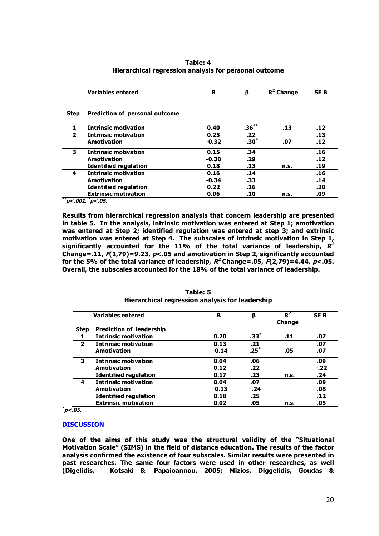| Table: 4                                              |
|-------------------------------------------------------|
| Hierarchical regression analysis for personal outcome |

|                | <b>Variables entered</b>              | в       | β        | $R^2$ Change | <b>SEB</b> |
|----------------|---------------------------------------|---------|----------|--------------|------------|
| <b>Step</b>    | <b>Prediction of personal outcome</b> |         |          |              |            |
|                | <b>Intrinsic motivation</b>           | 0.40    | $.36***$ | .13          | .12        |
| $\overline{2}$ | <b>Intrinsic motivation</b>           | 0.25    | .22      |              | .13        |
|                | Amotivation                           | $-0.32$ | $-.30*$  | .07          | .12        |
| 3              | <b>Intrinsic motivation</b>           | 0.15    | .34      |              | .16        |
|                | Amotivation                           | $-0.30$ | .29      |              | .12        |
|                | <b>Identified regulation</b>          | 0.18    | .13      | n.s.         | .19        |
| 4              | <b>Intrinsic motivation</b>           | 0.16    | .14      |              | .16        |
|                | <b>Amotivation</b>                    | $-0.34$ | .33      |              | .14        |
|                | <b>Identified regulation</b>          | 0.22    | .16      |              | .20        |
|                | <b>Extrinsic motivation</b>           | 0.06    | .10      | n.s.         | .09        |

**\*\* p<.001, \* p<.05.**

**Results from hierarchical regression analysis that concern leadership are presented in table 5. In the analysis, intrinsic motivation was entered at Step 1; amotivation was entered at Step 2; identified regulation was entered at step 3; and extrinsic motivation was entered at Step 4. The subscales of intrinsic motivation in Step 1, significantly accounted for the 11% of the total variance of leadership, R2 Change=.11, F(1,79)=9.23, p<.05 and amotivation in Step 2, significantly accounted**  for the 5% of the total variance of leadership,  $R^2$  Change=.05,  $\vec{F}(2,79)$ =4.44,  $p$ <.05. **Overall, the subscales accounted for the 18% of the total variance of leadership.**

| <b>Variables entered</b> |                                 | в       | β      | $R^2$         | <b>SEB</b> |
|--------------------------|---------------------------------|---------|--------|---------------|------------|
|                          |                                 |         |        | <b>Change</b> |            |
| <b>Step</b>              | <b>Prediction of leadership</b> |         |        |               |            |
|                          | <b>Intrinsic motivation</b>     | 0.20    | $.33*$ | .11           | .07        |
| $\overline{2}$           | <b>Intrinsic motivation</b>     | 0.13    | .21    |               | .07        |
|                          | <b>Amotivation</b>              | $-0.14$ | .25    | .05           | .07        |
| 3                        | <b>Intrinsic motivation</b>     | 0.04    | .06    |               | .09        |
|                          | <b>Amotivation</b>              | 0.12    | .22    |               | $-.22$     |
|                          | <b>Identified regulation</b>    | 0.17    | .23    | n.s.          | .24        |
| 4                        | <b>Intrinsic motivation</b>     | 0.04    | .07    |               | .09        |
|                          | <b>Amotivation</b>              | $-0.13$ | $-.24$ |               | .08        |
|                          | <b>Identified regulation</b>    | 0.18    | .25    |               | .12        |
|                          | <b>Extrinsic motivation</b>     | 0.02    | .05    | n.s.          | .05        |

**Table: 5 Hierarchical regression analysis for leadership**

**\* p<.05.**

# **DISCUSSION**

**One of the aims of this study was the structural validity of the "Situational Motivation Scale" (SIMS) in the field of distance education. The results of the factor analysis confirmed the existence of four subscales. Similar results were presented in past researches. The same four factors were used in other researches, as well (Digelidis, Kotsaki & Papaioannou, 2005; Mizios, Diggelidis, Goudas &**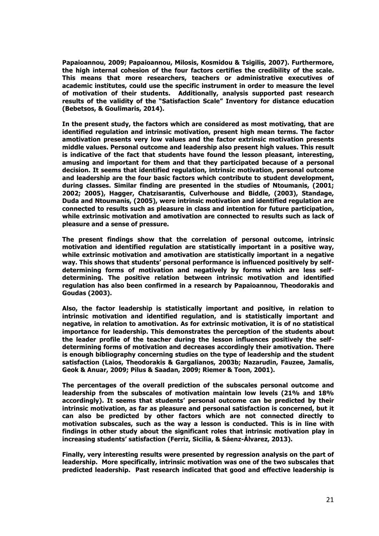**Papaioannou, 2009; Papaioannou, Milosis, Kosmidou & Tsigilis, 2007). Furthermore, the high internal cohesion of the four factors certifies the credibility of the scale. This means that more researchers, teachers or administrative executives of academic institutes, could use the specific instrument in order to measure the level of motivation of their students. Additionally, analysis supported past research results of the validity of the "Satisfaction Scale" Inventory for distance education (Bebetsos, & Goulimaris, 2014).** 

**In the present study, the factors which are considered as most motivating, that are identified regulation and intrinsic motivation, present high mean terms. The factor amotivation presents very low values and the factor extrinsic motivation presents middle values. Personal outcome and leadership also present high values. This result is indicative of the fact that students have found the lesson pleasant, interesting, amusing and important for them and that they participated because of a personal decision. It seems that identified regulation, intrinsic motivation, personal outcome and leadership are the four basic factors which contribute to student development, during classes. Similar finding are presented in the studies of Ntoumanis, (2001; 2002; 2005), Hagger, Chatzisarantis, Culverhouse and Biddle, (2003), Standage, Duda and Ntoumanis, (2005), were intrinsic motivation and identified regulation are connected to results such as pleasure in class and intention for future participation, while extrinsic motivation and amotivation are connected to results such as lack of pleasure and a sense of pressure.** 

**The present findings show that the correlation of personal outcome, intrinsic motivation and identified regulation are statistically important in a positive way, while extrinsic motivation and amotivation are statistically important in a negative way. This shows that students' personal performance is influenced positively by selfdetermining forms of motivation and negatively by forms which are less selfdetermining. The positive relation between intrinsic motivation and identified regulation has also been confirmed in a research by Papaioannou, Theodorakis and Goudas (2003).** 

**Also, the factor leadership is statistically important and positive, in relation to intrinsic motivation and identified regulation, and is statistically important and negative, in relation to amotivation. As for extrinsic motivation, it is of no statistical importance for leadership. This demonstrates the perception of the students about the leader profile of the teacher during the lesson influences positively the selfdetermining forms of motivation and decreases accordingly their amotivation. There is enough bibliography concerning studies on the type of leadership and the student satisfaction (Laios, Theodorakis & Gargalianos, 2003b; Nazarudin, Fauzee, Jamalis, Geok & Anuar, 2009; Pilus & Saadan, 2009; Riemer & Toon, 2001).** 

**The percentages of the overall prediction of the subscales personal outcome and leadership from the subscales of motivation maintain low levels (21% and 18% accordingly). It seems that students' personal outcome can be predicted by their intrinsic motivation, as far as pleasure and personal satisfaction is concerned, but it can also be predicted by other factors which are not connected directly to motivation subscales, such as the way a lesson is conducted. This is in line with findings in other study about the significant roles that intrinsic motivation play in increasing students' satisfaction (Ferriz, Sicilia, & Sáenz-Álvarez, 2013).**

**Finally, very interesting results were presented by regression analysis on the part of leadership. More specifically, intrinsic motivation was one of the two subscales that predicted leadership. Past research indicated that good and effective leadership is**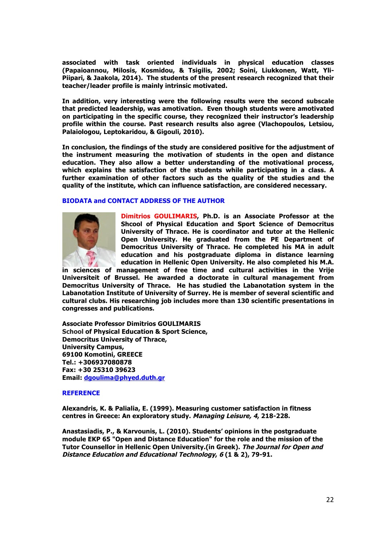**associated with task oriented individuals in physical education classes (Papaioannou, Milosis, Kosmidou, & Tsigilis, 2002; Soini, Liukkonen, Watt, Yli-Piipari, & Jaakola, 2014). The students of the present research recognized that their teacher/leader profile is mainly intrinsic motivated.** 

**In addition, very interesting were the following results were the second subscale that predicted leadership, was amotivation. Even though students were amotivated on participating in the specific course, they recognized their instructor's leadership profile within the course. Past research results also agree (Vlachopoulos, Letsiou, Palaiologou, Leptokaridou, & Gigouli, 2010).**

**In conclusion, the findings of the study are considered positive for the adjustment of the instrument measuring the motivation of students in the open and distance education. They also allow a better understanding of the motivational process, which explains the satisfaction of the students while participating in a class. A further examination of other factors such as the quality of the studies and the quality of the institute, which can influence satisfaction, are considered necessary.** 

# **BIODATA and CONTACT ADDRESS OF THE AUTHOR**



**Dimitrios GOULIMARIS, Ph.D. is an Associate Professor at the Shcool of Physical Education and Sport Science of Democritus University of Thrace. He is coordinator and tutor at the Hellenic Open University. He graduated from the PE Department of Democritus University of Thrace. He completed his MA in adult education and his postgraduate diploma in distance learning education in Hellenic Open University. He also completed his M.A.** 

**in sciences of management of free time and cultural activities in the Vrije Universiteit of Brussel. He awarded a doctorate in cultural management from Democritus University of Thrace. He has studied the Labanotation system in the Labanotation Institute of University of Surrey. He is member of several scientific and cultural clubs. His researching job includes more than 130 scientific presentations in congresses and publications.**

**Associate Professor Dimitrios GOULIMARIS School of Physical Education & Sport Science, Democritus University of Thrace, University Campus, 69100 Komotini, GREECE Tel.: +306937080878 Fax: +30 25310 39623 Email: dgoulima@phyed.duth.gr**

# **REFERENCE**

**Alexandris, K. & Palialia, E. (1999). Measuring customer satisfaction in fitness centres in Greece: Αn exploratory study. Managing Leisure, 4, 218-228.**

**Anastasiadis, P., & Karvounis, L. (2010). Students' opinions in the postgraduate module EKP 65 "Open and Distance Education" for the role and the mission of the Tutor Counsellor in Hellenic Open University.(in Greek). The Journal for Open and Distance Education and Educational Technology, 6 (1 & 2), 79-91.**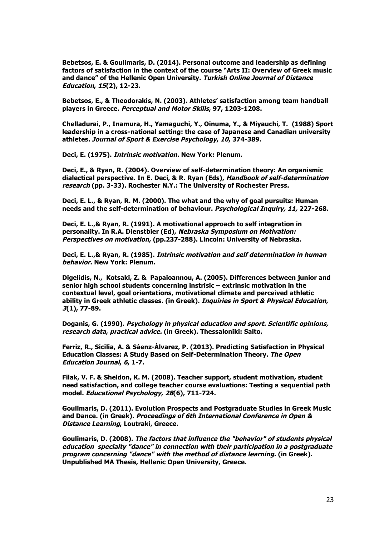**Bebetsos, E. & Goulimaris, D. (2014). Personal outcome and leadership as defining factors of satisfaction in the context of the course "Arts II: Overview of Greek music and dance" of the Hellenic Open University. Turkish Online Journal of Distance Education, 15(2), 12-23.**

**Bebetsos, E., & Theodorakis, N. (2003). Athletes' satisfaction among team handball players in Greece. Perceptual and Motor Skills, 97, 1203-1208.**

**Chelladurai, P., Inamura, H., Yamaguchi, Y., Oinuma, Y., & Miyauchi, T. (1988) Sport leadership in a cross-national setting: the case of Japanese and Canadian university athletes. Journal of Sport & Exercise Psychology, 10, 374-389.**

**Deci, Ε. (1975). Intrinsic motivation. New York: Plenum.**

**Deci, E., & Ryan, R. (2004). Overview of self-determination theory: An organismic dialectical perspective. In E. Deci, & R. Ryan (Eds), Handbook of self-determination research (pp. 3-33). Rochester N.Y.: The University of Rochester Press.**

**Deci, E. L., & Ryan, R. M. (2000). The what and the why of goal pursuits: Human needs and the self-determination of behaviour. Psychological Inquiry, 11, 227-268.**

**Deci, E. L.,& Ryan, R. (1991). A motivational approach to self integration in personality. In R.A. Dienstbier (Ed), Nebraska Symposium on Motivation: Perspectives on motivation, (pp.237-288). Lincoln: University of Nebraska.**

**Deci, E. L.,& Ryan, R. (1985). Intrinsic motivation and self determination in human behavior. New York: Plenum.**

**Digelidis, N., Kotsaki, Z. & Papaioannou, A. (2005). Differences between junior and senior high school students concerning instrisic – extrinsic motivation in the contextual level, goal orientations, motivational climate and perceived athletic ability in Greek athletic classes. (in Greek). Inquiries in Sport & Physical Education, 3(1), 77-89.**

**Doganis, G. (1990). Psychology in physical education and sport. Scientific opinions, research data, practical advice. (in Greek). Thessaloniki: Salto.**

**Ferriz, R., Sicilia, A. & Sáenz-Álvarez, P. (2013). Predicting Satisfaction in Physical Education Classes: A Study Based on Self-Determination Theory. The Open Education Journal, 6, 1-7.**

**Filak, V. F. & Sheldon, K. M. (2008). Teacher support, student motivation, student need satisfaction, and college teacher course evaluations: Testing a sequential path model. Educational Psychology, 28(6), 711-724.**

**Goulimaris, D. (2011). Evolution Prospects and Postgraduate Studies in Greek Music and Dance. (in Greek). Proceedings of 6th International Conference in Open & Distance Learning, Loutraki, Greece.**

**Goulimaris, D. (2008). The factors that influence the "behavior" of students physical education specialty "dance" in connection with their participation in a postgraduate program concerning "dance" with the method of distance learning. (in Greek). Unpublished MA Thesis, Hellenic Open University, Greece.**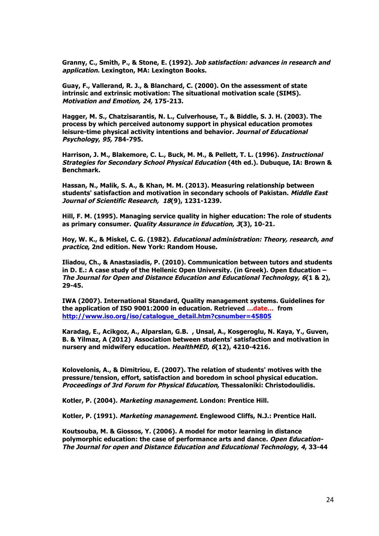**Granny, C., Smith, P., & Stone, E. (1992). Job satisfaction: advances in research and application. Lexington, MA: Lexington Books.**

**Guay, F., Vallerand, R. J., & Blanchard, C. (2000). On the assessment of state intrinsic and extrinsic motivation: The situational motivation scale (SIMS). Motivation and Emotion, 24, 175-213.**

**Hagger, M. S., Chatzisarantis, N. L., Culverhouse, T., & Biddle, S. J. H. (2003). The process by which perceived autonomy support in physical education promotes leisure-time physical activity intentions and behavior. Journal of Educational Psychology, 95, 784-795.**

**Harrison, J. M., Blakemore, C. L., Buck, M. M., & Pellett, T. L. (1996). Instructional Strategies for Secondary School Physical Education (4th ed.). Dubuque, IA: Brown & Benchmark.**

**Hassan, N., Malik, S. A., & Khan, M. M. (2013). Measuring relationship between students' satisfaction and motivation in secondary schools of Pakistan. Middle East Journal of Scientific Research, 18(9), 1231-1239.**

**Hill, F. M. (1995). Managing service quality in higher education: The role of students as primary consumer. Quality Assurance in Education, 3(3), 10-21.**

**Hoy, W. K., & Miskel, C. G. (1982). Educational administration: Theory, research, and practice, 2nd edition. New York: Random House.**

**Iliadou, Ch., & Anastasiadis, P. (2010). Communication between tutors and students in D. E.: A case study of the Hellenic Open University. (in Greek). Open Education – The Journal for Open and Distance Education and Educational Technology, 6(1 & 2), 29-45.**

**IWA (2007). International Standard, Quality management systems. Guidelines for the application of ISO 9001:2000 in education. Retrieved …date… from http://www.iso.org/iso/catalogue\_detail.htm?csnumber=45805**

**Karadag, E., Acikgoz, A., Alparslan, G.B. , Unsal, A., Kosgeroglu, N. Kaya, Y., Guven, B. & Yilmaz, A (2012) Association between students' satisfaction and motivation in nursery and midwifery education. HealthMED, 6(12), 4210-4216.**

**Kolovelonis, A., & Dimitriou, E. (2007). The relation of students' motives with the pressure/tension, effort, satisfaction and boredom in school physical education. Proceedings of 3rd Forum for Physical Education, Thessaloniki: Christodoulidis.**

**Kotler, P. (2004). Marketing management. London: Prentice Hill.**

**Kotler, P. (1991). Marketing management. Englewood Cliffs, N.J.: Prentice Hall.**

**Koutsouba, M. & Giossos, Y. (2006). A model for motor learning in distance polymorphic education: the case of performance arts and dance. Open Education-The Journal for open and Distance Education and Educational Technology, 4, 33-44**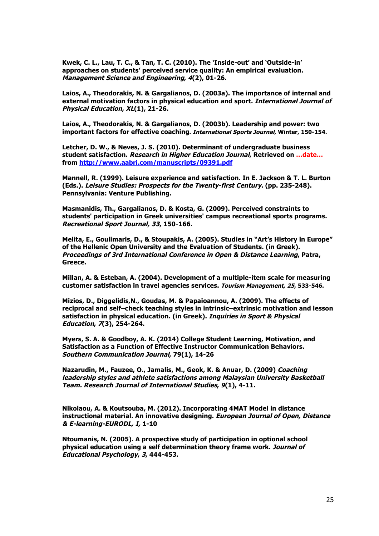**Kwek, C. L., Lau, T. C., & Tan, T. C. (2010). The 'Inside-out' and 'Outside-in' approaches on students' perceived service quality: An empirical evaluation. Management Science and Engineering, 4(2), 01-26.**

**Laios, A., Theodorakis, N. & Gargalianos, D. (2003a). The importance of internal and external motivation factors in physical education and sport. International Journal of Physical Education, XL(1), 21-26.**

**Laios, A., Theodorakis, N. & Gargalianos, D. (2003b). Leadership and power: two important factors for effective coaching. International Sports Journal, Winter, 150-154.**

**Letcher, D. W., & Neves, J. S. (2010). Determinant of undergraduate business student satisfaction. Research in Higher Education Journal, Retrieved on …date… from http://www.aabri.com/manuscripts/09391.pdf**

**Mannell, R. (1999). Leisure experience and satisfaction. In E. Jackson & T. L. Burton (Eds.). Leisure Studies: Prospects for the Twenty-first Century. (pp. 235-248). Pennsylvania: Venture Publishing.**

**Masmanidis, Th., Gargalianos, D. & Kosta, G. (2009). Perceived constraints to students' participation in Greek universities' campus recreational sports programs. Recreational Sport Journal, 33, 150-166.**

**Melita, E., Goulimaris, D., & Stoupakis, A. (2005). Studies in "Art's History in Europe" of the Hellenic Open University and the Evaluation of Students. (in Greek). Proceedings of 3rd International Conference in Open & Distance Learning, Patra, Greece.**

**Millan, A. & Esteban, A. (2004). Development of a multiple-item scale for measuring customer satisfaction in travel agencies services. Tourism Management, 25, 533-546.** 

**Mizios, D., Diggelidis,N., Goudas, M. & Papaioannou, A. (2009). Τhe effects οf reciprocal and self–check teaching styles in intrinsic–extrinsic motivation and lesson satisfaction in physical education. (in Greek). Inquiries in Sport & Physical Education, 7(3), 254-264.**

**Myers, S. A. & Goodboy, A. K. (2014) College Student Learning, Motivation, and Satisfaction as a Function of Effective Instructor Communication Behaviors. Southern Communication Journal, 79(1), 14-26**

**Nazarudin, M., Fauzee, O., Jamalis, M., Geok, K. & Anuar, D. (2009) Coaching leadership styles and athlete satisfactions among Malaysian University Basketball Team. Research Journal of International Studies, 9(1), 4-11.**

**Nikolaou, A. & Koutsouba, M. (2012). Incorporating 4MAT Model in distance instructional material. An innovative designing. European Journal of Open, Distance & E-learning-EURODL, I, 1-10**

**Ntoumanis, N. (2005). A prospective study of participation in optional school physical education using a self determination theory frame work. Journal of Educational Psychology, 3, 444-453.**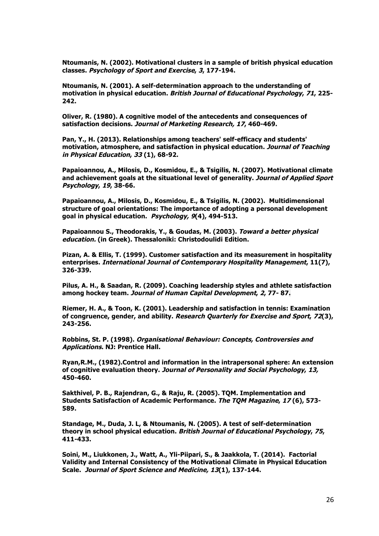**Ntoumanis, N. (2002). Motivational clusters in a sample of british physical education classes. Psychology of Sport and Exercise, 3, 177-194.**

**Ntoumanis, N. (2001). A self-determination approach to the understanding of motivation in physical education. British Journal of Educational Psychology, 71, 225- 242.**

**Oliver, R. (1980). A cognitive model of the antecedents and consequences of satisfaction decisions. Journal of Marketing Research, 17, 460-469.**

**Pan, Y., H. (2013). Relationships among teachers' self-efficacy and students' motivation, atmosphere, and satisfaction in physical education. Journal of Teaching in Physical Education, 33 (1), 68-92.**

**Papaioannou, A., Milosis, D., Kosmidou, E., & Tsigilis, N. (2007). Motivational climate and achievement goals at the situational level of generality. Journal of Applied Sport Psychology, 19, 38-66.**

**Papaioannou, A., Milosis, D., Kosmidou, E., & Tsigilis, N. (2002). Multidimensional structure of goal orientations: The importance of adopting a personal development goal in physical education. Psychology, 9(4), 494-513.**

**Papaioannou S., Theodorakis, Y., & Goudas, M. (2003). Toward a better physical education. (in Greek). Thessaloniki: Christodoulidi Edition.** 

**Pizan, A. & Ellis, T. (1999). Customer satisfaction and its measurement in hospitality enterprises. International Journal of Contemporary Hospitality Management, 11(7), 326-339.**

**Pilus, A. H., & Saadan, R. (2009). Coaching leadership styles and athlete satisfaction among hockey team. Journal of Human Capital Development, 2, 77- 87.**

**Riemer, H. A., & Toon, K. (2001). Leadership and satisfaction in tennis: Examination of congruence, gender, and ability. Research Quarterly for Exercise and Sport, 72(3), 243-256.**

**Robbins, St. P. (1998). Organisational Behaviour: Concepts, Controversies and Applications. NJ: Prentice Hall.** 

**Ryan,R.M., (1982).Control and information in the intrapersonal sphere: An extension of cognitive evaluation theory. Journal of Personality and Social Psychology, 13, 450-460.**

**Sakthivel, P. B., Rajendran, G., & Raju, R. (2005). TQM. Implementation and Students Satisfaction of Academic Performance. The TQM Magazine, 17 (6), 573- 589.**

**Standage, M., Duda, J. L, & Ntoumanis, N. (2005). A test of self-determination theory in school physical education. British Journal of Educational Psychology, 75, 411-433.**

**Soini, M., Liukkonen, J., Watt, A., Yli-Piipari, S., & Jaakkola, T. (2014). Factorial Validity and Internal Consistency of the Motivational Climate in Physical Education Scale. Journal of Sport Science and Medicine, 13(1), 137-144.**